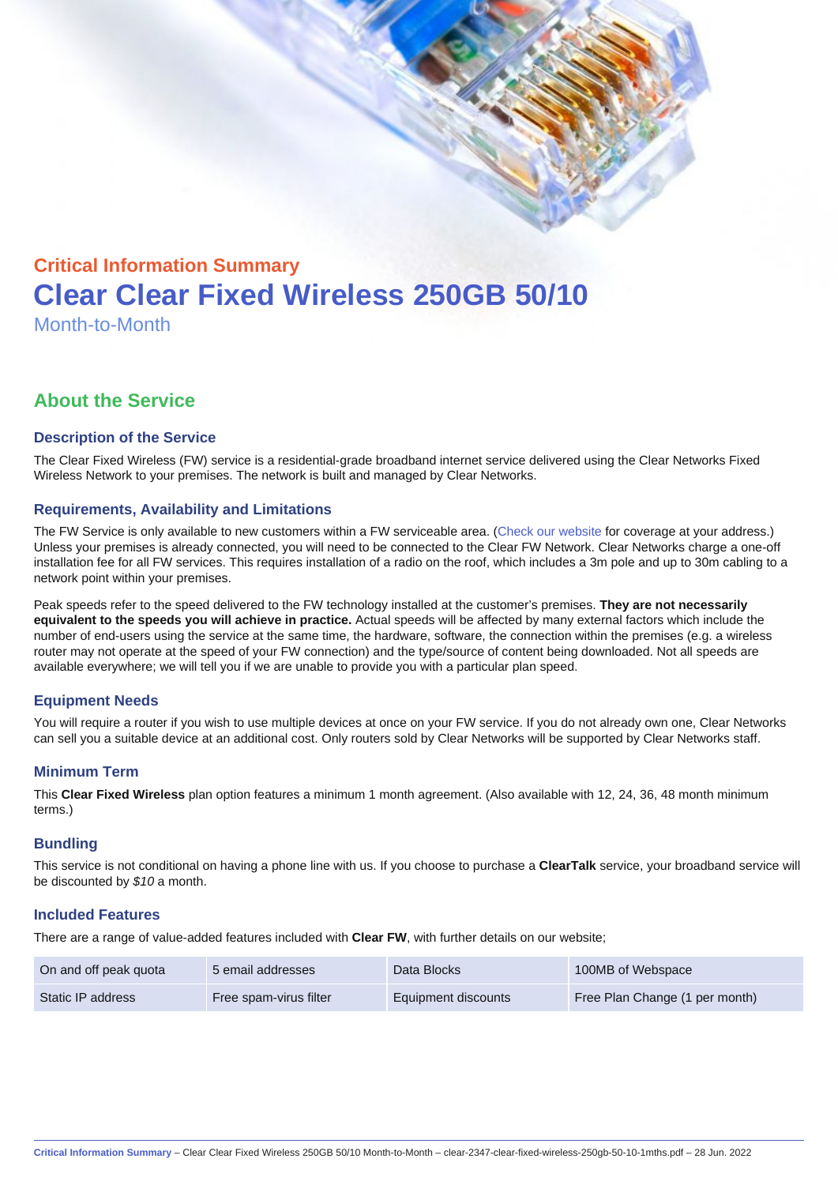# Critical Information Summary Clear Clear Fixed Wireless 250GB 50/10 Month-to-Month

# About the Service

#### Description of the Service

The Clear Fixed Wireless (FW) service is a residential-grade broadband internet service delivered using the Clear Networks Fixed Wireless Network to your premises. The network is built and managed by Clear Networks.

#### Requirements, Availability and Limitations

The FW Service is only available to new customers within a FW serviceable area. ([Check our website](https://www.clear.com.au/business/fixed-wireless/) for coverage at your address.) Unless your premises is already connected, you will need to be connected to the Clear FW Network. Clear Networks charge a one-off installation fee for all FW services. This requires installation of a radio on the roof, which includes a 3m pole and up to 30m cabling to a network point within your premises.

Peak speeds refer to the speed delivered to the FW technology installed at the customer's premises. They are not necessarily equivalent to the speeds you will achieve in practice. Actual speeds will be affected by many external factors which include the number of end-users using the service at the same time, the hardware, software, the connection within the premises (e.g. a wireless router may not operate at the speed of your FW connection) and the type/source of content being downloaded. Not all speeds are available everywhere; we will tell you if we are unable to provide you with a particular plan speed.

# Equipment Needs

You will require a router if you wish to use multiple devices at once on your FW service. If you do not already own one, Clear Networks can sell you a suitable device at an additional cost. Only routers sold by Clear Networks will be supported by Clear Networks staff.

#### Minimum Term

This Clear Fixed Wireless plan option features a minimum 1 month agreement. (Also available with 12, 24, 36, 48 month minimum terms.)

#### **Bundling**

This service is not conditional on having a phone line with us. If you choose to purchase a ClearTalk service, your broadband service will be discounted by \$10 a month.

#### Included Features

There are a range of value-added features included with Clear FW, with further details on our website;

| On and off peak quota | 5 email addresses      | Data Blocks         | 100MB of Webspace              |
|-----------------------|------------------------|---------------------|--------------------------------|
| Static IP address     | Free spam-virus filter | Equipment discounts | Free Plan Change (1 per month) |